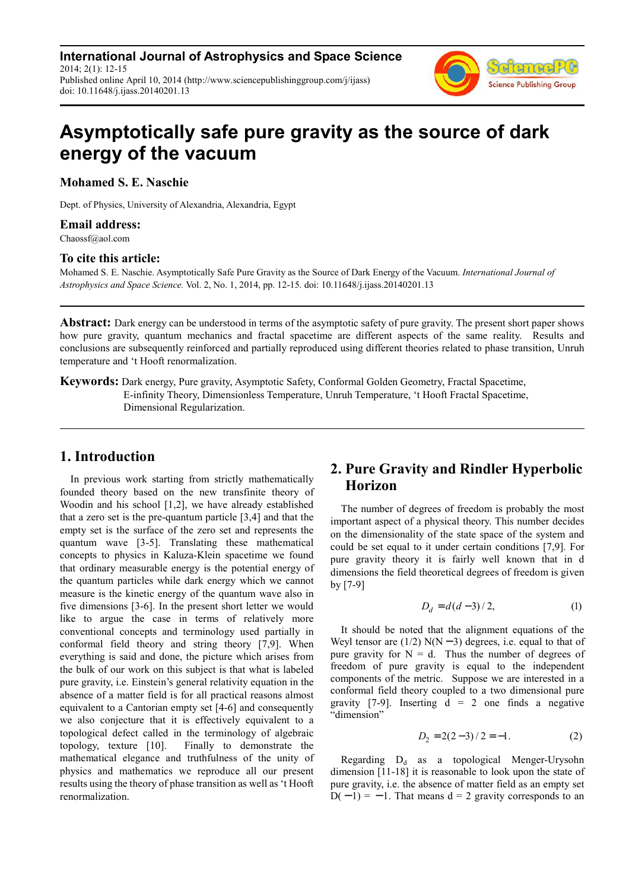**International Journal of Astrophysics and Space Science** 2014; 2(1): 12-15 Published online April 10, 2014 (http://www.sciencepublishinggroup.com/j/ijass) doi: 10.11648/j.ijass.20140201.13



# **Asymptotically safe pure gravity as the source of dark energy of the vacuum**

**Mohamed S. E. Naschie** 

Dept. of Physics, University of Alexandria, Alexandria, Egypt

#### **Email address:**

Chaossf@aol.com

#### **To cite this article:**

Mohamed S. E. Naschie. Asymptotically Safe Pure Gravity as the Source of Dark Energy of the Vacuum. *International Journal of Astrophysics and Space Science.* Vol. 2, No. 1, 2014, pp. 12-15. doi: 10.11648/j.ijass.20140201.13

**Abstract:** Dark energy can be understood in terms of the asymptotic safety of pure gravity. The present short paper shows how pure gravity, quantum mechanics and fractal spacetime are different aspects of the same reality. Results and conclusions are subsequently reinforced and partially reproduced using different theories related to phase transition, Unruh temperature and 't Hooft renormalization.

**Keywords:** Dark energy, Pure gravity, Asymptotic Safety, Conformal Golden Geometry, Fractal Spacetime, E-infinity Theory, Dimensionless Temperature, Unruh Temperature, 't Hooft Fractal Spacetime, Dimensional Regularization.

#### **1. Introduction**

In previous work starting from strictly mathematically founded theory based on the new transfinite theory of Woodin and his school [1,2], we have already established that a zero set is the pre-quantum particle [3,4] and that the empty set is the surface of the zero set and represents the quantum wave [3-5]. Translating these mathematical concepts to physics in Kaluza-Klein spacetime we found that ordinary measurable energy is the potential energy of the quantum particles while dark energy which we cannot measure is the kinetic energy of the quantum wave also in five dimensions [3-6]. In the present short letter we would like to argue the case in terms of relatively more conventional concepts and terminology used partially in conformal field theory and string theory [7,9]. When everything is said and done, the picture which arises from the bulk of our work on this subject is that what is labeled pure gravity, i.e. Einstein's general relativity equation in the absence of a matter field is for all practical reasons almost equivalent to a Cantorian empty set [4-6] and consequently we also conjecture that it is effectively equivalent to a topological defect called in the terminology of algebraic topology, texture [10]. Finally to demonstrate the mathematical elegance and truthfulness of the unity of physics and mathematics we reproduce all our present results using the theory of phase transition as well as 't Hooft renormalization.

# **2. Pure Gravity and Rindler Hyperbolic Horizon**

The number of degrees of freedom is probably the most important aspect of a physical theory. This number decides on the dimensionality of the state space of the system and could be set equal to it under certain conditions [7,9]. For pure gravity theory it is fairly well known that in d dimensions the field theoretical degrees of freedom is given by [7-9]

$$
D_d = d(d-3)/2, \t(1)
$$

It should be noted that the alignment equations of the Weyl tensor are  $(1/2)$  N(N − 3) degrees, i.e. equal to that of pure gravity for  $N = d$ . Thus the number of degrees of freedom of pure gravity is equal to the independent components of the metric. Suppose we are interested in a conformal field theory coupled to a two dimensional pure gravity [7-9]. Inserting  $d = 2$  one finds a negative "dimension"

$$
D_2 = 2(2-3)/2 = -1.
$$
 (2)

Regarding  $D_d$  as a topological Menger-Urysohn dimension [11-18] it is reasonable to look upon the state of pure gravity, i.e. the absence of matter field as an empty set  $D(-1) = -1$ . That means d = 2 gravity corresponds to an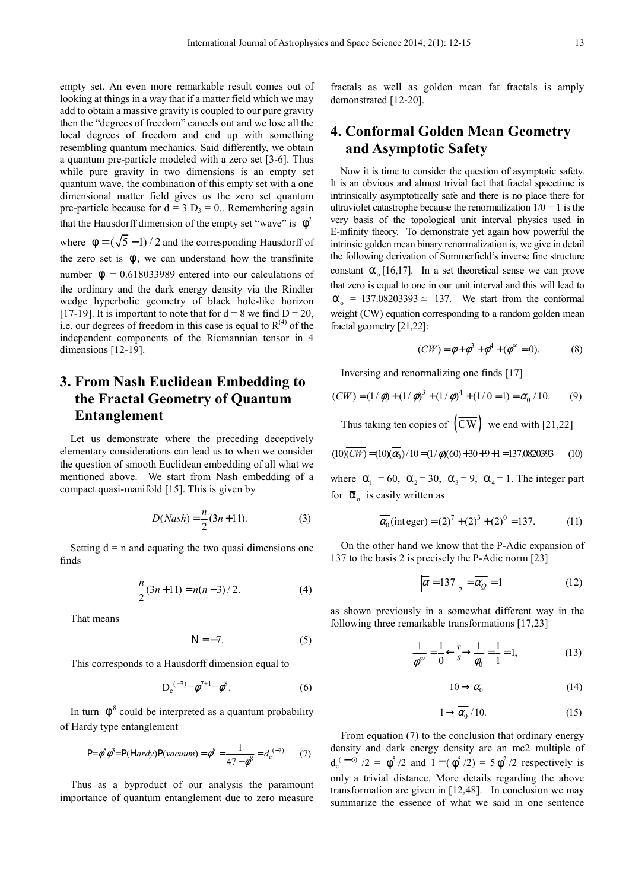empty set. An even more remarkable result comes out of looking at things in a way that if a matter field which we may add to obtain a massive gravity is coupled to our pure gravity then the "degrees of freedom" cancels out and we lose all the local degrees of freedom and end up with something resembling quantum mechanics. Said differently, we obtain a quantum pre-particle modeled with a zero set [3-6]. Thus while pure gravity in two dimensions is an empty set quantum wave, the combination of this empty set with a one dimensional matter field gives us the zero set quantum pre-particle because for  $d = 3 D_3 = 0$ . Remembering again that the Hausdorff dimension of the empty set "wave" is  $\phi^2$ where  $\phi = (\sqrt{5}-1)/2$  and the corresponding Hausdorff of the zero set is  $\phi$ , we can understand how the transfinite number  $\phi = 0.618033989$  entered into our calculations of the ordinary and the dark energy density via the Rindler wedge hyperbolic geometry of black hole-like horizon [17-19]. It is important to note that for  $d = 8$  we find  $D = 20$ , i.e. our degrees of freedom in this case is equal to  $R^{(4)}$  of the independent components of the Riemannian tensor in 4 dimensions [12-19].

# **3. From Nash Euclidean Embedding to the Fractal Geometry of Quantum Entanglement**

Let us demonstrate where the preceding deceptively elementary considerations can lead us to when we consider the question of smooth Euclidean embedding of all what we mentioned above. We start from Nash embedding of a compact quasi-manifold [15]. This is given by

$$
D(Nash) = \frac{n}{2}(3n + 11).
$$
 (3)

Setting  $d = n$  and equating the two quasi dimensions one finds

$$
\frac{n}{2}(3n+11) = n(n-3)/2.
$$
 (4)

That means

$$
N = -7.\t\t(5)
$$

This corresponds to a Hausdorff dimension equal to

$$
D_c^{(-7)} = \phi^{7+1} = \phi^8.
$$
 (6)

In turn  $\phi^8$  could be interpreted as a quantum probability of Hardy type entanglement

$$
P = \phi^{5} \phi^{3} = P(Hardy)P(vacuum) = \phi^{8} = \frac{1}{47 - \phi^{8}} = d_{c}^{(-7)} \tag{7}
$$

Thus as a byproduct of our analysis the paramount importance of quantum entanglement due to zero measure

fractals as well as golden mean fat fractals is amply demonstrated [12-20].

### **4. Conformal Golden Mean Geometry and Asymptotic Safety**

Now it is time to consider the question of asymptotic safety. It is an obvious and almost trivial fact that fractal spacetime is intrinsically asymptotically safe and there is no place there for ultraviolet catastrophe because the renormalization  $1/0 = 1$  is the very basis of the topological unit interval physics used in E-infinity theory. To demonstrate yet again how powerful the intrinsic golden mean binary renormalization is, we give in detail the following derivation of Sommerfield's inverse fine structure constant  $\bar{\alpha}_0$  [16,17]. In a set theoretical sense we can prove that zero is equal to one in our unit interval and this will lead to  $\overline{\alpha}_o$  = 137.08203393  $\approx$  137. We start from the conformal weight (CW) equation corresponding to a random golden mean fractal geometry [21,22]:

$$
(CW) = \phi + \phi^3 + \phi^4 + (\phi^{\infty} = 0).
$$
 (8)

Inversing and renormalizing one finds [17]

$$
(CW) = (1/\phi) + (1/\phi)^3 + (1/\phi)^4 + (1/0 = 1) = \overline{\alpha_0} / 10.
$$
 (9)

Thus taking ten copies of  $(\overline{\mathrm{CW}})$  we end with [21,22]

$$
(10)\overline{(CW)} = (10)(\overline{\alpha_0})/10 = (1/\phi)(60) + 30 + 9 + 1 = 137.0820393
$$
 (10)

where  $\overline{\alpha}_1 = 60$ ,  $\overline{\alpha}_2 = 30$ ,  $\overline{\alpha}_3 = 9$ ,  $\overline{\alpha}_4 = 1$ . The integer part for  $\bar{\alpha}_o$  is easily written as

$$
\overline{\alpha_0}(\text{integer}) = (2)^7 + (2)^3 + (2)^0 = 137. \tag{11}
$$

On the other hand we know that the P-Adic expansion of 137 to the basis 2 is precisely the P-Adic norm [23]

$$
\left\| \overline{\alpha} = 137 \right\|_2 = \overline{\alpha_Q} = 1 \tag{12}
$$

as shown previously in a somewhat different way in the following three remarkable transformations [17,23]

$$
\frac{1}{\phi^{\infty}} = \frac{1}{0} \leftarrow \frac{r}{s} \rightarrow \frac{1}{\phi_0} = \frac{1}{1} = 1,
$$
 (13)

$$
10 \to \overline{\alpha_0} \tag{14}
$$

$$
1 \to \overline{\alpha_0} / 10. \tag{15}
$$

From equation (7) to the conclusion that ordinary energy density and dark energy density are an mc2 multiple of  $d_c^{(-6)}/2 = \phi^5/2$  and  $1 - (\phi^5/2) = 5 \phi^2/2$  respectively is only a trivial distance. More details regarding the above transformation are given in [12,48]. In conclusion we may summarize the essence of what we said in one sentence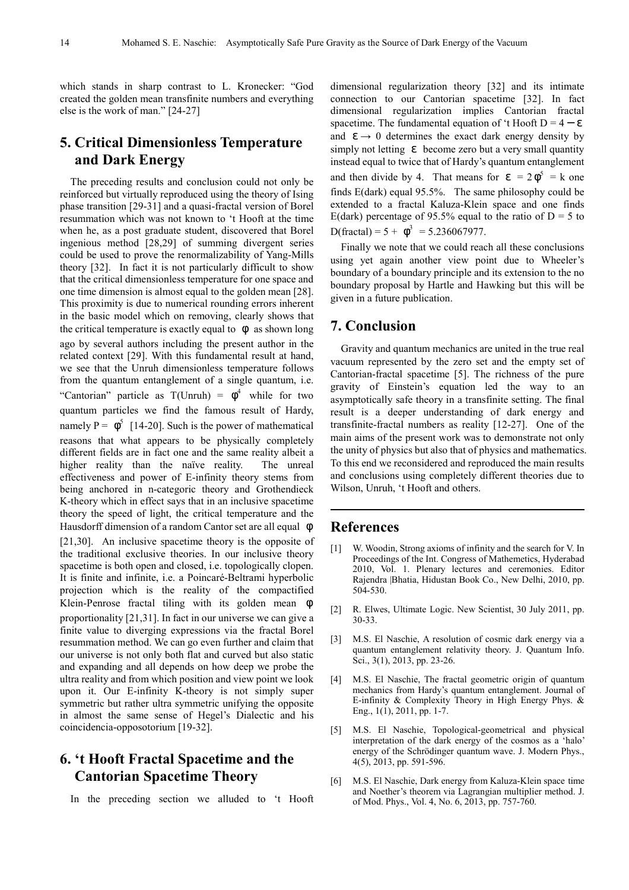which stands in sharp contrast to L. Kronecker: "God created the golden mean transfinite numbers and everything else is the work of man." [24-27]

# **5. Critical Dimensionless Temperature and Dark Energy**

The preceding results and conclusion could not only be reinforced but virtually reproduced using the theory of Ising phase transition [29-31] and a quasi-fractal version of Borel resummation which was not known to 't Hooft at the time when he, as a post graduate student, discovered that Borel ingenious method [28,29] of summing divergent series could be used to prove the renormalizability of Yang-Mills theory [32]. In fact it is not particularly difficult to show that the critical dimensionless temperature for one space and one time dimension is almost equal to the golden mean [28]. This proximity is due to numerical rounding errors inherent in the basic model which on removing, clearly shows that the critical temperature is exactly equal to  $\phi$  as shown long ago by several authors including the present author in the related context [29]. With this fundamental result at hand, we see that the Unruh dimensionless temperature follows from the quantum entanglement of a single quantum, i.e. "Cantorian" particle as  $T(Unruh) = \phi^4$  while for two quantum particles we find the famous result of Hardy, namely  $P = \phi^5$  [14-20]. Such is the power of mathematical reasons that what appears to be physically completely different fields are in fact one and the same reality albeit a higher reality than the naïve reality. The unreal effectiveness and power of E-infinity theory stems from being anchored in n-categoric theory and Grothendieck K-theory which in effect says that in an inclusive spacetime theory the speed of light, the critical temperature and the Hausdorff dimension of a random Cantor set are all equal φ [21,30]. An inclusive spacetime theory is the opposite of the traditional exclusive theories. In our inclusive theory spacetime is both open and closed, i.e. topologically clopen. It is finite and infinite, i.e. a Poincaré-Beltrami hyperbolic projection which is the reality of the compactified Klein-Penrose fractal tiling with its golden mean φ proportionality [21,31]. In fact in our universe we can give a finite value to diverging expressions via the fractal Borel resummation method. We can go even further and claim that our universe is not only both flat and curved but also static and expanding and all depends on how deep we probe the ultra reality and from which position and view point we look upon it. Our E-infinity K-theory is not simply super symmetric but rather ultra symmetric unifying the opposite in almost the same sense of Hegel's Dialectic and his coincidencia-opposotorium [19-32].

# **6. 't Hooft Fractal Spacetime and the Cantorian Spacetime Theory**

In the preceding section we alluded to 't Hooft

dimensional regularization theory [32] and its intimate connection to our Cantorian spacetime [32]. In fact dimensional regularization implies Cantorian fractal spacetime. The fundamental equation of 't Hooft  $D = 4 - \varepsilon$ and  $\epsilon \rightarrow 0$  determines the exact dark energy density by simply not letting  $\varepsilon$  become zero but a very small quantity instead equal to twice that of Hardy's quantum entanglement and then divide by 4. That means for  $\varepsilon = 2\phi^5 = k$  one finds E(dark) equal 95.5%. The same philosophy could be extended to a fractal Kaluza-Klein space and one finds E(dark) percentage of 95.5% equal to the ratio of  $D = 5$  to  $D(f \text{ractal}) = 5 + \phi^3 = 5.236067977.$ 

Finally we note that we could reach all these conclusions using yet again another view point due to Wheeler's boundary of a boundary principle and its extension to the no boundary proposal by Hartle and Hawking but this will be given in a future publication.

#### **7. Conclusion**

Gravity and quantum mechanics are united in the true real vacuum represented by the zero set and the empty set of Cantorian-fractal spacetime [5]. The richness of the pure gravity of Einstein's equation led the way to an asymptotically safe theory in a transfinite setting. The final result is a deeper understanding of dark energy and transfinite-fractal numbers as reality [12-27]. One of the main aims of the present work was to demonstrate not only the unity of physics but also that of physics and mathematics. To this end we reconsidered and reproduced the main results and conclusions using completely different theories due to Wilson, Unruh, 't Hooft and others.

#### **References**

- [1] W. Woodin, Strong axioms of infinity and the search for V. In Proceedings of the Int. Congress of Mathemetics, Hyderabad 2010, Vol. 1. Plenary lectures and ceremonies. Editor Rajendra |Bhatia, Hidustan Book Co., New Delhi, 2010, pp. 504-530.
- [2] R. Elwes, Ultimate Logic. New Scientist, 30 July 2011, pp. 30-33.
- [3] M.S. El Naschie, A resolution of cosmic dark energy via a quantum entanglement relativity theory. J. Quantum Info. Sci., 3(1), 2013, pp. 23-26.
- [4] M.S. El Naschie, The fractal geometric origin of quantum mechanics from Hardy's quantum entanglement. Journal of E-infinity & Complexity Theory in High Energy Phys. & Eng., 1(1), 2011, pp. 1-7.
- [5] M.S. El Naschie, Topological-geometrical and physical interpretation of the dark energy of the cosmos as a 'halo' energy of the Schrödinger quantum wave. J. Modern Phys., 4(5), 2013, pp. 591-596.
- [6] M.S. El Naschie, Dark energy from Kaluza-Klein space time and Noether's theorem via Lagrangian multiplier method. J. of Mod. Phys., Vol. 4, No. 6, 2013, pp. 757-760.